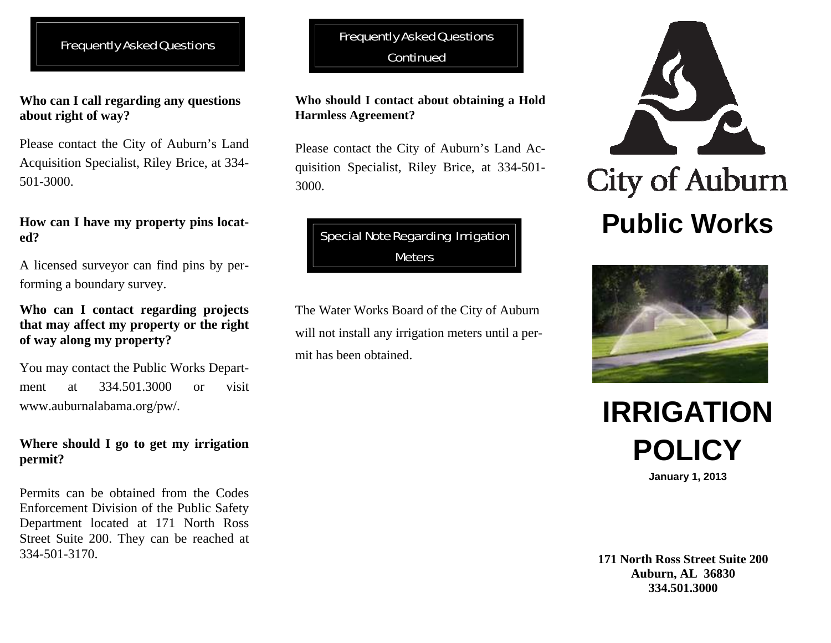# Frequently Asked Questions

**Who can I call regarding any questions about right of way?** 

Please contact the City of Auburn's Land Acquisition Specialist, Riley Brice, at 334- 501-3000.

## **How can I have my property pins located?**

A licensed surveyor can find pins by performing a boundary survey.

## **Who can I contact regarding projects that may affect my property or the right of way along my property?**

You may contact the Public Works Department at 334.501.3000 or visit www.auburnalabama.org/pw/.

## **Where should I go to get my irrigation permit?**

Permits can be obtained from the Codes Enforcement Division of the Public Safety Department located at 171 North Ross Street Suite 200. They can be reached at 334-501-3170.

# Frequently Asked Questions **Continued**

#### **Who should I contact about obtaining a Hold Harmless Agreement?**

Please contact the City of Auburn's Land Acquisition Specialist, Riley Brice, at 334-501- 3000.

# Special Note Regarding Irrigation **Meters**

The Water Works Board of the City of Auburn will not install any irrigation meters until a permit has been obtained.







**January 1, 2013**

#### **171 North Ross Street Suite 200 Auburn, AL 36830 334.501.3000**